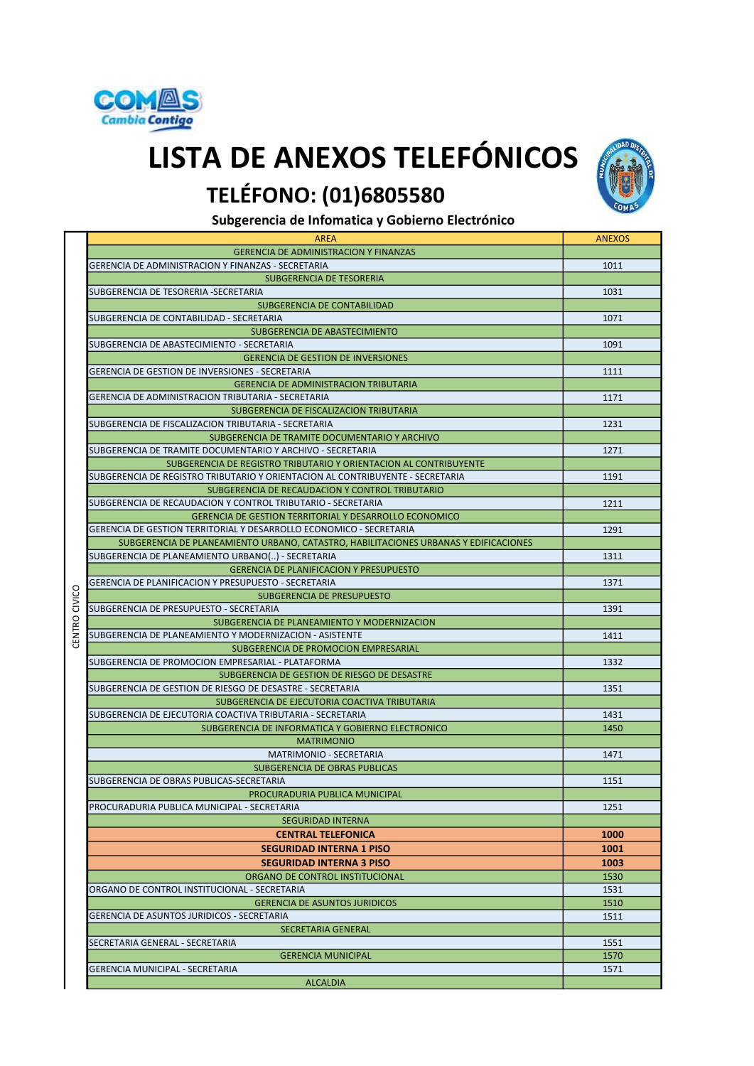

## TELÉFONO: (01)6805580 LISTA DE ANEXOS TELEFÓNICOS



Subgerencia de Infomatica y Gobierno Electrónico

| <b>AREA</b>                                                                          | <b>ANEXOS</b> |
|--------------------------------------------------------------------------------------|---------------|
| <b>GERENCIA DE ADMINISTRACION Y FINANZAS</b>                                         |               |
| GERENCIA DE ADMINISTRACION Y FINANZAS - SECRETARIA                                   | 1011          |
| SUBGERENCIA DE TESORERIA                                                             |               |
| SUBGERENCIA DE TESORERIA -SECRETARIA                                                 | 1031          |
| SUBGERENCIA DE CONTABILIDAD                                                          |               |
| SUBGERENCIA DE CONTABILIDAD - SECRETARIA                                             | 1071          |
|                                                                                      |               |
| SUBGERENCIA DE ABASTECIMIENTO                                                        |               |
| SUBGERENCIA DE ABASTECIMIENTO - SECRETARIA                                           | 1091          |
| <b>GERENCIA DE GESTION DE INVERSIONES</b>                                            |               |
| GERENCIA DE GESTION DE INVERSIONES - SECRETARIA                                      | 1111          |
| <b>GERENCIA DE ADMINISTRACION TRIBUTARIA</b>                                         |               |
| GERENCIA DE ADMINISTRACION TRIBUTARIA - SECRETARIA                                   | 1171          |
| SUBGERENCIA DE FISCALIZACION TRIBUTARIA                                              |               |
| SUBGERENCIA DE FISCALIZACION TRIBUTARIA - SECRETARIA                                 | 1231          |
| SUBGERENCIA DE TRAMITE DOCUMENTARIO Y ARCHIVO                                        |               |
| SUBGERENCIA DE TRAMITE DOCUMENTARIO Y ARCHIVO - SECRETARIA                           | 1271          |
| SUBGERENCIA DE REGISTRO TRIBUTARIO Y ORIENTACION AL CONTRIBUYENTE                    |               |
| SUBGERENCIA DE REGISTRO TRIBUTARIO Y ORIENTACION AL CONTRIBUYENTE - SECRETARIA       | 1191          |
|                                                                                      |               |
| SUBGERENCIA DE RECAUDACION Y CONTROL TRIBUTARIO                                      |               |
| SUBGERENCIA DE RECAUDACION Y CONTROL TRIBUTARIO - SECRETARIA                         | 1211          |
| <b>GERENCIA DE GESTION TERRITORIAL Y DESARROLLO ECONOMICO</b>                        |               |
| GERENCIA DE GESTION TERRITORIAL Y DESARROLLO ECONOMICO - SECRETARIA                  | 1291          |
| SUBGERENCIA DE PLANEAMIENTO URBANO, CATASTRO, HABILITACIONES URBANAS Y EDIFICACIONES |               |
| SUBGERENCIA DE PLANEAMIENTO URBANO() - SECRETARIA                                    | 1311          |
| <b>GERENCIA DE PLANIFICACION Y PRESUPUESTO</b>                                       |               |
| GERENCIA DE PLANIFICACION Y PRESUPUESTO - SECRETARIA                                 | 1371          |
| SUBGERENCIA DE PRESUPUESTO                                                           |               |
| SUBGERENCIA DE PRESUPUESTO - SECRETARIA                                              | 1391          |
| SUBGERENCIA DE PLANEAMIENTO Y MODERNIZACION                                          |               |
| SUBGERENCIA DE PLANEAMIENTO Y MODERNIZACION - ASISTENTE                              | 1411          |
| SUBGERENCIA DE PROMOCION EMPRESARIAL                                                 |               |
|                                                                                      |               |
| SUBGERENCIA DE PROMOCION EMPRESARIAL - PLATAFORMA                                    | 1332          |
| SUBGERENCIA DE GESTION DE RIESGO DE DESASTRE                                         |               |
| SUBGERENCIA DE GESTION DE RIESGO DE DESASTRE - SECRETARIA                            | 1351          |
| SUBGERENCIA DE EJECUTORIA COACTIVA TRIBUTARIA                                        |               |
| SUBGERENCIA DE EJECUTORIA COACTIVA TRIBUTARIA - SECRETARIA                           | 1431          |
| SUBGERENCIA DE INFORMATICA Y GOBIERNO ELECTRONICO                                    | 1450          |
| <b>MATRIMONIO</b>                                                                    |               |
| <b>MATRIMONIO - SECRETARIA</b>                                                       | 1471          |
| SUBGERENCIA DE OBRAS PUBLICAS                                                        |               |
| SUBGERENCIA DE OBRAS PUBLICAS-SECRETARIA                                             | 1151          |
| PROCURADURIA PUBLICA MUNICIPAL                                                       |               |
| PROCURADURIA PUBLICA MUNICIPAL - SECRETARIA                                          | 1251          |
| <b>SEGURIDAD INTERNA</b>                                                             |               |
| <b>CENTRAL TELEFONICA</b>                                                            | 1000          |
|                                                                                      |               |
| <b>SEGURIDAD INTERNA 1 PISO</b>                                                      | 1001          |
| <b>SEGURIDAD INTERNA 3 PISO</b>                                                      | 1003          |
| ORGANO DE CONTROL INSTITUCIONAL                                                      | 1530          |
| ORGANO DE CONTROL INSTITUCIONAL - SECRETARIA                                         | 1531          |
| <b>GERENCIA DE ASUNTOS JURIDICOS</b>                                                 | 1510          |
| GERENCIA DE ASUNTOS JURIDICOS - SECRETARIA                                           | 1511          |
| <b>SECRETARIA GENERAL</b>                                                            |               |
| SECRETARIA GENERAL - SECRETARIA                                                      | 1551          |
| <b>GERENCIA MUNICIPAL</b>                                                            | 1570          |
| GERENCIA MUNICIPAL - SECRETARIA                                                      | 1571          |
| <b>ALCALDIA</b>                                                                      |               |
|                                                                                      |               |

CENTRO CIVICO CENTRO CIVICO